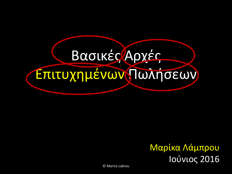# Βασικές Αρχές Επιτυχημένων Πωλήσεων

#### Μαρίκα Λάμπρου Ιούνιος 2016

© Marica Labrou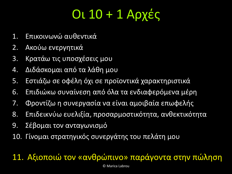## Οι 10 + 1 Αρχές

- 1. Επικοινωνώ αυθεντικά
- 2. Ακούω ενεργητικά
- 3. Κρατάω τις υποσχέσεις μου
- 4. Διδάσκομαι από τα λάθη μου
- 5. Εστιάζω σε οφέλη όχι σε προϊοντικά χαρακτηριστικά
- 6. Επιδιώκω συναίνεση από όλα τα ενδιαφερόμενα μέρη
- 7. Φροντίζω η συνεργασία να είναι αμοιβαία επωφελής
- 8. Επιδεικνύω ευελιξία, προσαρμοστικότητα, ανθεκτικότητα
- 9. Σέβομαι τον ανταγωνισμό
- 10. Γίνομαι στρατηγικός συνεργάτης του πελάτη μου

#### 11. Αξιοποιώ τον «ανθρώπινο» παράγοντα στην πώληση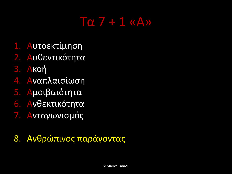### Τα 7 + 1 «Α»

- 1. Αυτοεκτίμηση
- 2. Αυθεντικότητα
- 3. Ακοή
- 4. Αναπλαισίωση
- 5. Αμοιβαιότητα
- 6. Ανθεκτικότητα
- 7. Ανταγωνισμός

#### 8. Ανθρώπινος παράγοντας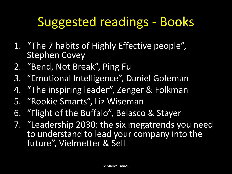## Suggested readings - Books

- 1. "The 7 habits of Highly Effective people", Stephen Covey
- 2. "Bend, Not Break", Ping Fu
- 3. "Emotional Intelligence", Daniel Goleman
- 4. "The inspiring leader", Zenger & Folkman
- 5. "Rookie Smarts", Liz Wiseman
- 6. "Flight of the Buffalo", Belasco & Stayer
- 7. "Leadership 2030: the six megatrends you need to understand to lead your company into the future", Vielmetter & Sell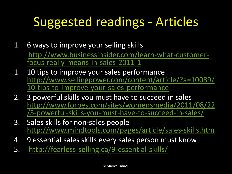## Suggested readings - Articles

- 1. 6 ways to improve your selling skills [http://www.businessinsider.com/learn-what-customer](http://www.businessinsider.com/learn-what-customer-focus-really-means-in-sales-2011-1)focus-really-means-in-sales-2011-1
- 1. 10 tips to improve your sales performance [http://www.sellingpower.com/content/article/?a=10089/](http://www.sellingpower.com/content/article/?a=10089/10-tips-to-improve-your-sales-performance) 10-tips-to-improve-your-sales-performance
- 2. 3 powerful skills you must have to succeed in sales [http://www.forbes.com/sites/womensmedia/2011/08/22](http://www.forbes.com/sites/womensmedia/2011/08/22/3-powerful-skills-you-must-have-to-succeed-in-sales/) /3-powerful-skills-you-must-have-to-succeed-in-sales/
- 3. Sales skills for non-sales people <http://www.mindtools.com/pages/article/sales-skills.htm>
- 4. 9 essential sales skills every sales person must know
- 5. <http://fearless-selling.ca/9-essential-skills/>